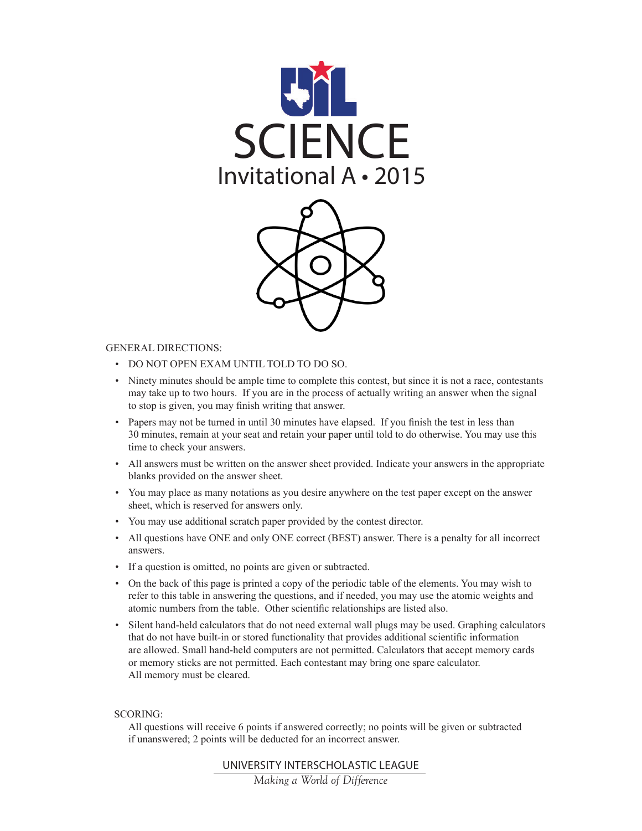



#### GENERAL DIRECTIONS:

- • DO NOT OPEN EXAM UNTIL TOLD TO DO SO.
- • Ninety minutes should be ample time to complete this contest, but since it is not a race, contestants may take up to two hours. If you are in the process of actually writing an answer when the signal to stop is given, you may finish writing that answer.
- Papers may not be turned in until 30 minutes have elapsed. If you finish the test in less than 30 minutes, remain at your seat and retain your paper until told to do otherwise. You may use this time to check your answers.
- • All answers must be written on the answer sheet provided. Indicate your answers in the appropriate blanks provided on the answer sheet.
- • You may place as many notations as you desire anywhere on the test paper except on the answer sheet, which is reserved for answers only.
- • You may use additional scratch paper provided by the contest director.
- • All questions have ONE and only ONE correct (BEST) answer. There is a penalty for all incorrect answers.
- If a question is omitted, no points are given or subtracted.
- • On the back of this page is printed a copy of the periodic table of the elements. You may wish to refer to this table in answering the questions, and if needed, you may use the atomic weights and atomic numbers from the table. Other scientific relationships are listed also.
- • Silent hand-held calculators that do not need external wall plugs may be used. Graphing calculators that do not have built-in or stored functionality that provides additional scientific information are allowed. Small hand-held computers are not permitted. Calculators that accept memory cards or memory sticks are not permitted. Each contestant may bring one spare calculator. All memory must be cleared.

#### SCORING:

 All questions will receive 6 points if answered correctly; no points will be given or subtracted if unanswered; 2 points will be deducted for an incorrect answer.

UNIVERSITY INTERSCHOLASTIC LEAGUE

*Making a World of Difference*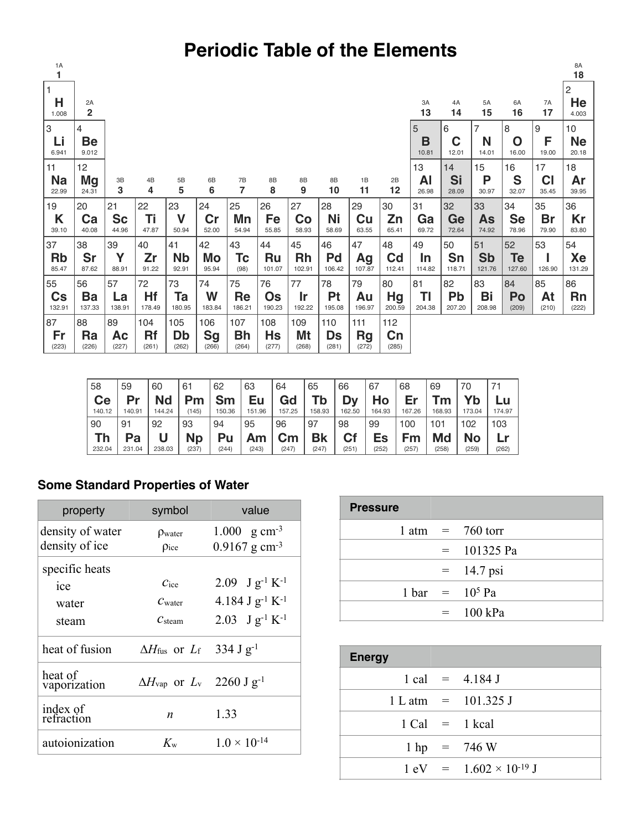# **Periodic Table of the Elements**

| 1A<br>1                 |                      |                    |              |                    |                    |              |              |              |              |                    |                         |              |              |                     |                    |             | 8A<br>18           |
|-------------------------|----------------------|--------------------|--------------|--------------------|--------------------|--------------|--------------|--------------|--------------|--------------------|-------------------------|--------------|--------------|---------------------|--------------------|-------------|--------------------|
| 1                       |                      |                    |              |                    |                    |              |              |              |              |                    |                         |              |              |                     |                    |             |                    |
| Н<br>1.008              | 2A<br>$\overline{2}$ |                    |              |                    |                    |              |              |              |              |                    |                         | 3A<br>13     | 4A<br>14     | 5A<br>15            | 6A<br>16           | 7A<br>17    | 2<br>He<br>4.003   |
| 3                       | 4                    |                    |              |                    |                    |              |              |              |              |                    |                         | 5            | 6            | 7                   | 8                  | 9           | 10                 |
| Li<br>6.941             | Be<br>9.012          |                    |              |                    |                    |              |              |              |              |                    |                         | B<br>10.81   | C<br>12.01   | N<br>14.01          | O<br>16.00         | F<br>19.00  | <b>Ne</b><br>20.18 |
| 11                      | 12                   |                    |              |                    |                    |              |              |              |              |                    |                         | 13           | 14           | 15                  | 16                 | 17          | 18                 |
| <b>Na</b>               | Mg                   | 3B                 | 4B           | 5B                 | 6B                 | 7B           | 8B           | 8B           | 8B           | 1B                 | 2B                      | Al           | Si           | Ρ                   | S                  | <b>CI</b>   | Ar                 |
| 22.99                   | 24.31                | 3                  | 4            | 5                  | 6                  | 7            | 8            | 9            | 10           | 11                 | 12                      | 26.98        | 28.09        | 30.97               | 32.07              | 35.45       | 39.95              |
| 19                      | 20                   | 21                 | 22           | 23                 | 24                 | 25           | 26           | 27           | 28           | 29                 | 30                      | 31           | 32           | 33                  | 34                 | 35          | 36                 |
| Κ<br>39.10              | Ca<br>40.08          | <b>Sc</b><br>44.96 | Ti<br>47.87  | V<br>50.94         | cr<br>52.00        | Mn<br>54.94  | Fe<br>55.85  | Co<br>58.93  | Ni<br>58.69  | Cu<br>63.55        | Zn<br>65.41             | Ga<br>69.72  | Ge<br>72.64  | As<br>74.92         | <b>Se</b><br>78.96 | Br<br>79.90 | Kr<br>83.80        |
| 37                      | 38                   | 39                 | 40           | 41                 | 42                 | 43           | 44           | 45           | 46           | 47                 | 48                      | 49           | 50           | 51                  | 52                 | 53          | 54                 |
| <b>Rb</b><br>85.47      | Sr<br>87.62          | Υ<br>88.91         | Zr<br>91.22  | <b>Nb</b><br>92.91 | Mo<br>95.94        | Tc<br>(98)   | Ru<br>101.07 | Rh<br>102.91 | Pd<br>106.42 | Ag<br>107.87       | $\mathsf{Cd}$<br>112.41 | In<br>114.82 | Sn<br>118.71 | <b>Sb</b><br>121.76 | Te<br>127.60       | 126.90      | Xe<br>131.29       |
| 55                      | 56                   | 57                 | 72           | 73                 | 74                 | 75           | 76           | 77           | 78           | 79                 | 80                      | 81           | 82           | 83                  | 84                 | 85          | 86                 |
| $\mathsf{Cs}$<br>132.91 | Ba<br>137.33         | La<br>138.91       | Hf<br>178.49 | Ta<br>180.95       | W<br>183.84        | Re<br>186.21 | Os<br>190.23 | Ir<br>192.22 | Pt<br>195.08 | Au<br>196.97       | Hg<br>200.59            | ΤI<br>204.38 | Pb<br>207.20 | Bi<br>208.98        | Po<br>(209)        | At<br>(210) | <b>Rn</b><br>(222) |
| 87                      | 88                   | 89                 | 104          | 105                | 106                | 107          | 108          | 109          | 110          | 111                | 112                     |              |              |                     |                    |             |                    |
| Fr<br>(223)             | Ra<br>(226)          | Ac<br>(227)        | Rf<br>(261)  | Db<br>(262)        | <b>Sg</b><br>(266) | Bh<br>(264)  | Hs<br>(277)  | Mt<br>(268)  | Ds<br>(281)  | <b>Rg</b><br>(272) | Cn<br>(285)             |              |              |                     |                    |             |                    |

| 58     | 59     | 60        | 61        | 62     | 63     | 64     | 65     | 66     | 67     | 68     | 69     | 70     |        |
|--------|--------|-----------|-----------|--------|--------|--------|--------|--------|--------|--------|--------|--------|--------|
| Ce     | Pr     | <b>Nd</b> | Pm        | Sm     | Eu     | Gd     | Tb     | Dν     | Ho     | Er     | Tm     | Yb     | Lu     |
| 140.12 | 140.91 | 144.24    | (145)     | 150.36 | 151.96 | 157.25 | 158.93 | 162.50 | 164.93 | 167.26 | 168.93 | 173.04 | 174.97 |
| 90     | 91     | 92        | 93        | 94     | 95     | 96     | 97     | 98     | 99     | 100    | 101    | 102    | 103    |
| Th     | Pa     |           | <b>Np</b> | Pu     | Am     | Cm     | Bk     | Cf     | Es     | Fm     | Md     | No     | ٢Ľ     |
| 232.04 | 231.04 | 238.03    | (237)     | (244)  | (243)  | (247)  | (247)  | (251)  | (252)  | (257)  | (258)  | (259)  | (262)  |

### **Some Standard Properties of Water**

| property                | symbol                                                           | value                                |
|-------------------------|------------------------------------------------------------------|--------------------------------------|
| density of water        | $\rho_{\text{water}}$                                            | 1.000 $\rm g \, cm^{-3}$             |
| density of ice          | Pice                                                             | $0.9167$ g cm <sup>-3</sup>          |
| specific heats          |                                                                  |                                      |
| ice                     | $C_{ice}$                                                        | 2.09 $\text{J g}^{-1} \text{K}^{-1}$ |
| water                   | $C_{\text{water}}$                                               | 4.184 J $g^{-1} K^{-1}$              |
| steam                   | $\mathcal{C}$ steam                                              | 2.03 J $g^{-1} K^{-1}$               |
| heat of fusion          | $\Delta H_{\text{fus}}$ or $L_{\text{f}}$ 334 J g <sup>-1</sup>  |                                      |
| heat of<br>vaporization | $\Delta H_{\text{vap}}$ or $L_{\text{v}}$ 2260 J g <sup>-1</sup> |                                      |
| index of<br>refraction  | $\boldsymbol{n}$                                                 | 1.33                                 |
| autoionization          | $K_{w}$                                                          | $1.0 \times 10^{-14}$                |

| <b>Pressure</b> |         |                                   |
|-----------------|---------|-----------------------------------|
|                 |         | $1 atm = 760 torr$                |
|                 |         | $= 101325 \text{ Pa}$             |
|                 |         | $=$ 14.7 psi                      |
|                 |         | $1 \text{ bar} = 10^5 \text{ Pa}$ |
|                 | $=$ $-$ | $100$ kPa                         |

| <b>Energy</b> |                                                  |
|---------------|--------------------------------------------------|
|               | $1 cal = 4.184 J$                                |
|               | $1 L atm = 101.325 J$                            |
|               | $1$ Cal = $1$ kcal                               |
|               | $1 \text{ hp} = 746 \text{ W}$                   |
|               | $1 \text{ eV} = 1.602 \times 10^{-19} \text{ J}$ |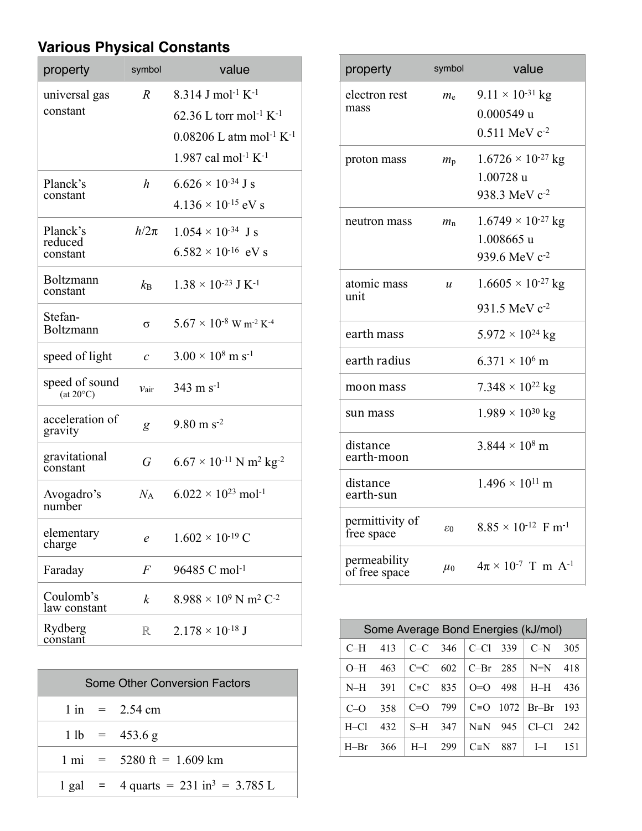## **Various Physical Constants**

| property                             | symbol           | value                                                                                                                                                                                           |
|--------------------------------------|------------------|-------------------------------------------------------------------------------------------------------------------------------------------------------------------------------------------------|
| universal gas<br>constant            | $\boldsymbol{R}$ | 8.314 J mol <sup>-1</sup> K <sup>-1</sup><br>62.36 L torr mol <sup>-1</sup> K <sup>-1</sup><br>$0.08206$ L atm mol <sup>-1</sup> K <sup>-1</sup><br>1.987 cal mol <sup>-1</sup> K <sup>-1</sup> |
| Planck's<br>constant                 | h                | $6.626 \times 10^{-34}$ J s<br>$4.136 \times 10^{-15}$ eV s                                                                                                                                     |
| Planck's<br>reduced<br>constant      | $h/2\pi$         | $1.054 \times 10^{-34}$ J s<br>$6.582 \times 10^{-16}$ eV s                                                                                                                                     |
| Boltzmann<br>constant                | $k_{\rm B}$      | $1.38 \times 10^{-23}$ J K <sup>-1</sup>                                                                                                                                                        |
| Stefan-<br>Boltzmann                 | σ                | $5.67 \times 10^{-8}$ W m <sup>-2</sup> K <sup>-4</sup>                                                                                                                                         |
| speed of light                       | $\mathcal{C}$    | $3.00 \times 10^8$ m s <sup>-1</sup>                                                                                                                                                            |
| speed of sound<br>$(at 20^{\circ}C)$ | $v_{\text{air}}$ | $343 \text{ m s}^{-1}$                                                                                                                                                                          |
| acceleration of<br>gravity           | g                | $9.80 \text{ m s}^{-2}$                                                                                                                                                                         |
| gravitational<br>constant            | G                | $6.67 \times 10^{-11}$ N m <sup>2</sup> kg <sup>-2</sup>                                                                                                                                        |
| Avogadro's<br>number                 | $N_A$            | $6.022 \times 10^{23}$ mol <sup>-1</sup>                                                                                                                                                        |
| elementary<br>charge                 | e                | $1.602 \times 10^{-19}$ C                                                                                                                                                                       |
| Faraday                              | $\,F$            | 96485 C mol <sup>-1</sup>                                                                                                                                                                       |
| Coulomb's<br>law constant            | $\boldsymbol{k}$ | $8.988 \times 10^9$ N m <sup>2</sup> C <sup>-2</sup>                                                                                                                                            |
| Rydberg<br>constant                  | R                | $2.178 \times 10^{-18}$ J                                                                                                                                                                       |

| <b>Some Other Conversion Factors</b> |  |                                                            |  |  |  |  |
|--------------------------------------|--|------------------------------------------------------------|--|--|--|--|
|                                      |  | $1 \text{ in } = 2.54 \text{ cm}$                          |  |  |  |  |
|                                      |  | $1 \text{ lb} = 453.6 \text{ g}$                           |  |  |  |  |
|                                      |  | $1 \text{ mi}$ = 5280 ft = 1.609 km                        |  |  |  |  |
|                                      |  | $1 \text{ gal}$ = 4 quarts = 231 in <sup>3</sup> = 3.785 L |  |  |  |  |

| property                      | symbol         | value                                     |
|-------------------------------|----------------|-------------------------------------------|
| electron rest                 | $m_{\rm e}$    | $9.11 \times 10^{-31}$ kg                 |
| mass                          |                | $0.000549$ u                              |
|                               |                | $0.511$ MeV $c^{-2}$                      |
| proton mass                   | $m_{\rm p}$    | $1.6726 \times 10^{-27}$ kg               |
|                               |                | 1.00728 u                                 |
|                               |                | 938.3 MeV c <sup>-2</sup>                 |
| neutron mass                  | $m_{\rm n}$    | $1.6749 \times 10^{-27}$ kg               |
|                               |                | 1.008665 u                                |
|                               |                | 939.6 MeV c-2                             |
| atomic mass<br>unit           | $\mathfrak{u}$ | $1.6605 \times 10^{-27}$ kg               |
|                               |                | 931.5 MeV c <sup>-2</sup>                 |
| earth mass                    |                | $5.972 \times 10^{24}$ kg                 |
| earth radius                  |                | $6.371 \times 10^6$ m                     |
| moon mass                     |                | $7.348 \times 10^{22}$ kg                 |
| sun mass                      |                | $1.989 \times 10^{30}$ kg                 |
| distance<br>earth-moon        |                | $3.844 \times 10^8$ m                     |
| distance<br>earth-sun         |                | $1.496 \times 10^{11}$ m                  |
| permittivity of<br>free space | 60             | $8.85 \times 10^{-12}$ F m <sup>-1</sup>  |
| permeability<br>of free space | $\mu_0$        | $4\pi \times 10^{-7}$ T m A <sup>-1</sup> |

|          | Some Average Bond Energies (kJ/mol) |              |     |                   |       |       |      |  |  |
|----------|-------------------------------------|--------------|-----|-------------------|-------|-------|------|--|--|
| $C-H$    | 413                                 | $C-C$        | 346 | C-Cl              | - 339 | $C-N$ | 305  |  |  |
| $O-H$    | 463                                 | $C = C$      | 602 | $C-Pr$ 285        |       | $N=N$ | 418  |  |  |
| N-H      | 391                                 | $C \equiv C$ | 835 | $O=O$             | 498   | $H-H$ | 436  |  |  |
| $C=O$    | 358                                 | $C=O$        | 799 | $C \equiv \Omega$ | 1072  | Br–Br | -193 |  |  |
| $H - C1$ | 432                                 | $S-H$        | 347 | $N \equiv N$      | 945   | CI-CI | 242  |  |  |
| $H=Br$   | 366                                 | $H-I$        | 299 | $C \equiv N$      | 887   | I-I   | 151  |  |  |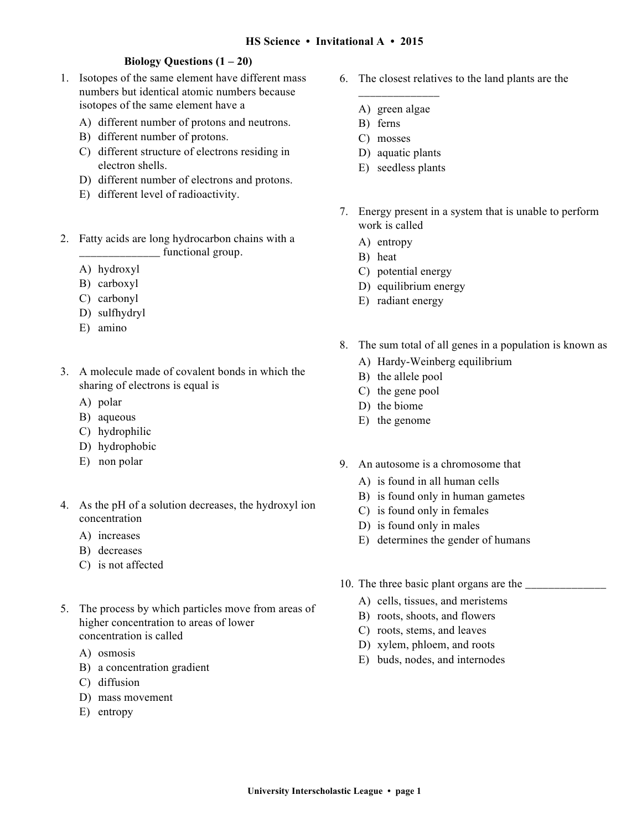#### **Biology Questions (1 – 20)**

- 1. Isotopes of the same element have different mass numbers but identical atomic numbers because isotopes of the same element have a
	- A) different number of protons and neutrons.
	- B) different number of protons.
	- C) different structure of electrons residing in electron shells.
	- D) different number of electrons and protons.
	- E) different level of radioactivity.
- 2. Fatty acids are long hydrocarbon chains with a \_\_\_\_\_\_\_\_\_\_\_\_\_\_ functional group.
	- A) hydroxyl
	- B) carboxyl
	- C) carbonyl
	- D) sulfhydryl
	- E) amino
- 3. A molecule made of covalent bonds in which the sharing of electrons is equal is
	- A) polar
	- B) aqueous
	- C) hydrophilic
	- D) hydrophobic
	- E) non polar
- 4. As the pH of a solution decreases, the hydroxyl ion concentration
	- A) increases
	- B) decreases
	- C) is not affected
- 5. The process by which particles move from areas of higher concentration to areas of lower concentration is called
	- A) osmosis
	- B) a concentration gradient
	- C) diffusion
	- D) mass movement
	- E) entropy
- 6. The closest relatives to the land plants are the
	- \_\_\_\_\_\_\_\_\_\_\_\_\_\_ A) green algae
	- B) ferns
	- C) mosses
	- D) aquatic plants
	- E) seedless plants
- 7. Energy present in a system that is unable to perform work is called
	- A) entropy
	- B) heat
	- C) potential energy
	- D) equilibrium energy
	- E) radiant energy
- 8. The sum total of all genes in a population is known as
	- A) Hardy-Weinberg equilibrium
	- B) the allele pool
	- C) the gene pool
	- D) the biome
	- E) the genome
- 9. An autosome is a chromosome that
	- A) is found in all human cells
	- B) is found only in human gametes
	- C) is found only in females
	- D) is found only in males
	- E) determines the gender of humans
- 10. The three basic plant organs are the
	- A) cells, tissues, and meristems
	- B) roots, shoots, and flowers
	- C) roots, stems, and leaves
	- D) xylem, phloem, and roots
	- E) buds, nodes, and internodes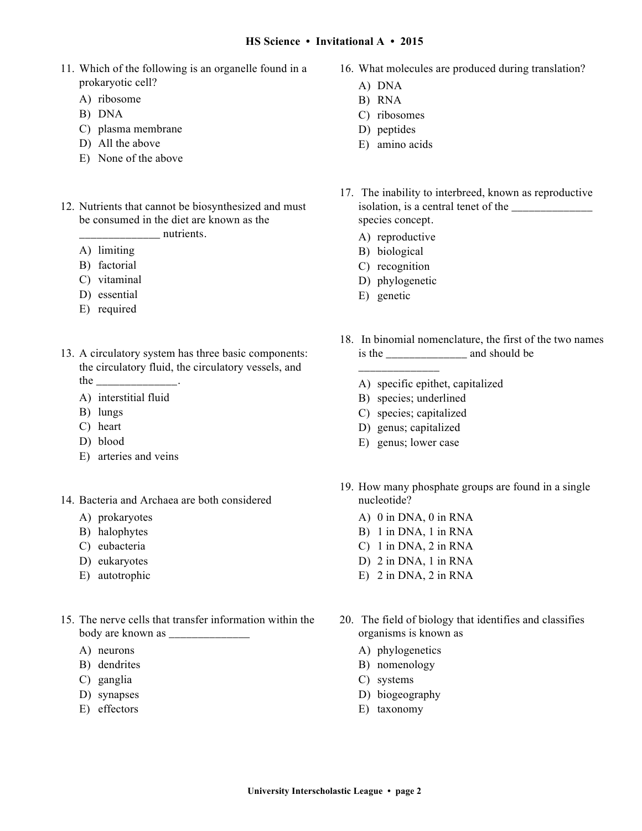- 11. Which of the following is an organelle found in a prokaryotic cell?
	- A) ribosome
	- B) DNA
	- C) plasma membrane
	- D) All the above
	- E) None of the above
- 12. Nutrients that cannot be biosynthesized and must be consumed in the diet are known as the nutrients.
	- A) limiting
	- B) factorial
	- C) vitaminal
	- D) essential
	- E) required
- 13. A circulatory system has three basic components: the circulatory fluid, the circulatory vessels, and the \_\_\_\_\_\_\_\_\_\_\_\_\_\_\_\_.
	- A) interstitial fluid
	- B) lungs
	- C) heart
	- D) blood
	- E) arteries and veins
- 14. Bacteria and Archaea are both considered
	- A) prokaryotes
	- B) halophytes
	- C) eubacteria
	- D) eukaryotes
	- E) autotrophic
- 15. The nerve cells that transfer information within the body are known as \_\_\_\_\_\_\_\_\_\_\_\_\_\_
	- A) neurons
	- B) dendrites
	- C) ganglia
	- D) synapses
	- E) effectors
- 16. What molecules are produced during translation?
	- A) DNA
	- B) RNA
	- C) ribosomes
	- D) peptides
	- E) amino acids
- 17. The inability to interbreed, known as reproductive isolation, is a central tenet of the \_\_\_\_\_\_\_\_\_\_\_\_\_\_ species concept.
	- A) reproductive
	- B) biological
	- C) recognition
	- D) phylogenetic

\_\_\_\_\_\_\_\_\_\_\_\_\_\_

- E) genetic
- 18. In binomial nomenclature, the first of the two names is the and should be
	- A) specific epithet, capitalized
	- B) species; underlined
	- C) species; capitalized
	- D) genus; capitalized
	- E) genus; lower case
- 19. How many phosphate groups are found in a single nucleotide?
	- A) 0 in DNA, 0 in RNA
	- B) 1 in DNA, 1 in RNA
	- C) 1 in DNA, 2 in RNA
	- D) 2 in DNA, 1 in RNA
	- E) 2 in DNA, 2 in RNA
- 20. The field of biology that identifies and classifies organisms is known as
	- A) phylogenetics
	- B) nomenology
	- C) systems
	- D) biogeography
	- E) taxonomy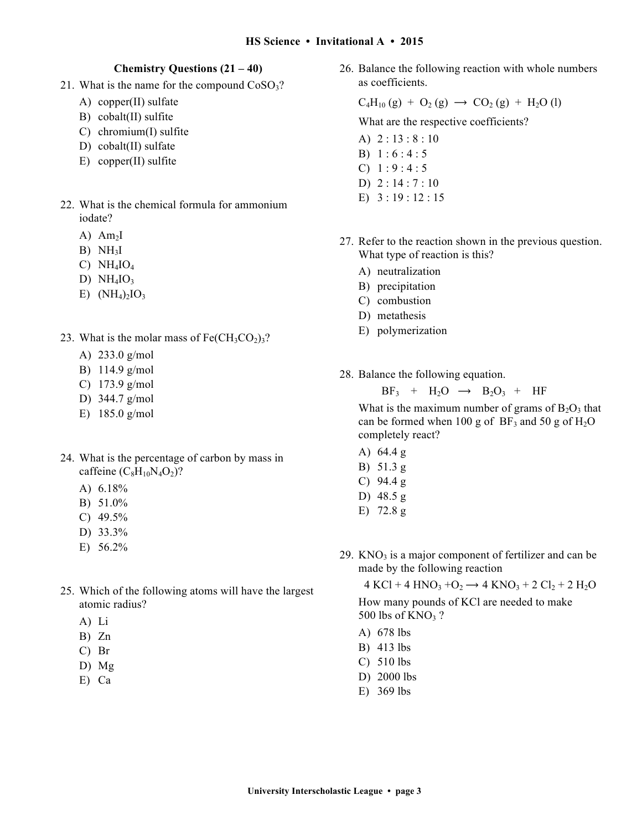#### **Chemistry Questions (21 – 40)**

- 21. What is the name for the compound  $CoSO<sub>3</sub>$ ?
	- A) copper(II) sulfate
	- B) cobalt(II) sulfite
	- C) chromium(I) sulfite
	- D) cobalt(II) sulfate
	- E) copper(II) sulfite
- 22. What is the chemical formula for ammonium iodate?
	- $A)$  Am<sub>2</sub>I
	- $B)$  NH<sub>3</sub>I
	- C)  $NH<sub>4</sub>IO<sub>4</sub>$
	- D)  $NH<sub>4</sub>IO<sub>3</sub>$
	- E)  $(NH_4)_2IO_3$
- 23. What is the molar mass of  $Fe(CH_3CO_2)_3$ ?
	- A) 233.0 g/mol
	- B) 114.9 g/mol
	- C) 173.9 g/mol
	- D) 344.7 g/mol
	- E) 185.0 g/mol
- 24. What is the percentage of carbon by mass in caffeine  $(C_8H_{10}N_4O_2)?$ 
	- A) 6.18%
	- B) 51.0%
	- C) 49.5%
	- D) 33.3%
	- E) 56.2%
- 25. Which of the following atoms will have the largest atomic radius?
	- A) Li
	- B) Zn
	- C) Br
	- D) Mg
	- E) Ca

26. Balance the following reaction with whole numbers as coefficients.

#### $C_4H_{10}(g) + O_2(g) \rightarrow CO_2(g) + H_2O(l)$

What are the respective coefficients?

- A) 2 : 13 : 8 : 10
- B) 1 : 6 : 4 : 5
- C)  $1:9:4:5$
- D) 2 : 14 : 7 : 10
- E) 3 : 19 : 12 : 15
- 27. Refer to the reaction shown in the previous question. What type of reaction is this?
	- A) neutralization
	- B) precipitation
	- C) combustion
	- D) metathesis
	- E) polymerization
- 28. Balance the following equation.

 $BF_3$  +  $H_2O \rightarrow B_2O_3$  + HF

What is the maximum number of grams of  $B_2O_3$  that can be formed when 100 g of  $BF_3$  and 50 g of  $H_2O$ completely react?

- A) 64.4 g B) 51.3 g C) 94.4 g D) 48.5 g
- E) 72.8 g
- 29.  $KNO<sub>3</sub>$  is a major component of fertilizer and can be made by the following reaction

 $4 KCl + 4 HNO<sub>3</sub> + O<sub>2</sub> \rightarrow 4 KNO<sub>3</sub> + 2 Cl<sub>2</sub> + 2 H<sub>2</sub>O$ 

How many pounds of KCl are needed to make 500 lbs of  $KNO<sub>3</sub>$ ?

- A) 678 lbs
- B) 413 lbs
- C) 510 lbs
- D) 2000 lbs
- E) 369 lbs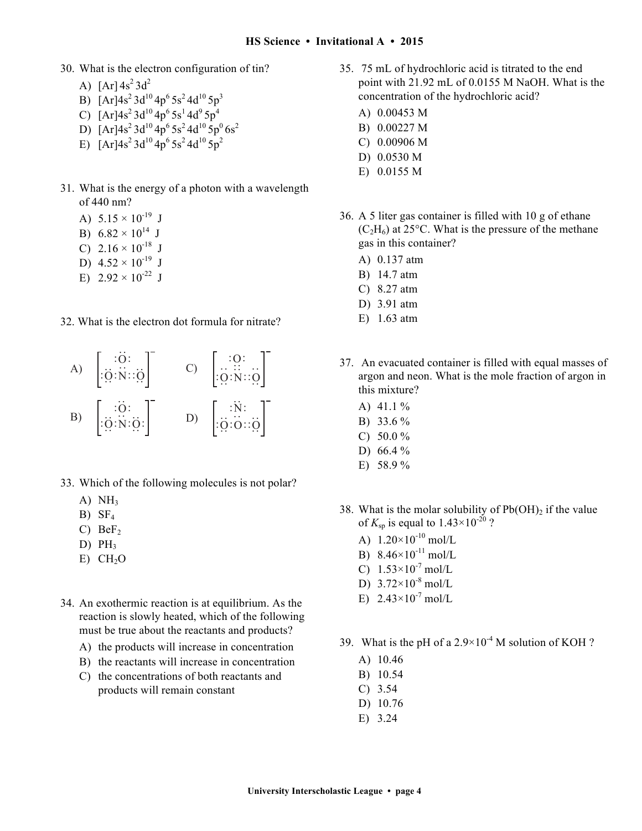- 30. What is the electron configuration of tin?
	- A)  $[Ar] 4s^2 3d^2$
	- B)  $[Ar]4s^2 3d^{10} 4p^6 5s^2 4d^{10} 5p^3$
	- C)  $[Ar]4s^2 3d^{10} 4p^6 5s^1 4d^9 5p^4$
	- D)  $[Ar]4s^2 3d^{10} 4p^6 5s^2 4d^{10} 5p^0 6s^2$
	- E)  $[Ar]4s^2 3d^{10} 4p^6 5s^2 4d^{10} 5p^2$
- 31. What is the energy of a photon with a wavelength of 440 nm?
	- A)  $5.15 \times 10^{-19}$  J
	- B)  $6.82 \times 10^{14}$  J
	- C)  $2.16 \times 10^{-18}$  J
	- D)  $4.52 \times 10^{-19}$  J
	- E)  $2.92 \times 10^{-22}$  J
- 32. What is the electron dot formula for nitrate?

A) :O: :O:N::O : : : : : :B) :O: :O:N:O: : : : : : :C) :O: :O:N::O :: : : : : D) :N: :O:O::O : : : : : :

- 33. Which of the following molecules is not polar?
	- A)  $NH<sub>3</sub>$
	- $B)$  SF<sub>4</sub>
	- C)  $BeF<sub>2</sub>$
	- D)  $PH_3$
	- $E)$  CH<sub>2</sub>O
- 34. An exothermic reaction is at equilibrium. As the reaction is slowly heated, which of the following must be true about the reactants and products?
	- A) the products will increase in concentration
	- B) the reactants will increase in concentration
	- C) the concentrations of both reactants and products will remain constant
- 35. 75 mL of hydrochloric acid is titrated to the end point with 21.92 mL of 0.0155 M NaOH. What is the concentration of the hydrochloric acid?
	- A) 0.00453 M
	- B) 0.00227 M
	- C) 0.00906 M
	- D) 0.0530 M
	- E) 0.0155 M
- 36. A 5 liter gas container is filled with 10 g of ethane  $(C_2H_6)$  at 25<sup>o</sup>C. What is the pressure of the methane gas in this container?
	- A) 0.137 atm
	- B) 14.7 atm
	- C) 8.27 atm
	- D) 3.91 atm
	- E) 1.63 atm
- 37. An evacuated container is filled with equal masses of argon and neon. What is the mole fraction of argon in this mixture?
	- A) 41.1 %
	- B) 33.6 %
	- C)  $50.0 \%$
	- D) 66.4 %
	- E) 58.9 %
- 38. What is the molar solubility of  $Pb(OH)_2$  if the value of  $K_{\text{sp}}$  is equal to  $1.43 \times 10^{-20}$  ?
	- A)  $1.20 \times 10^{-10}$  mol/L
	- $\overline{B}$ ) 8.46×10<sup>-11</sup> mol/L
	- C)  $1.53 \times 10^{-7}$  mol/L
	- D)  $3.72 \times 10^{-8}$  mol/L
	- E)  $2.43 \times 10^{-7}$  mol/L
- 39. What is the pH of a  $2.9 \times 10^{-4}$  M solution of KOH?
	- A) 10.46
	- B) 10.54
	- C) 3.54
	- D) 10.76
	- E) 3.24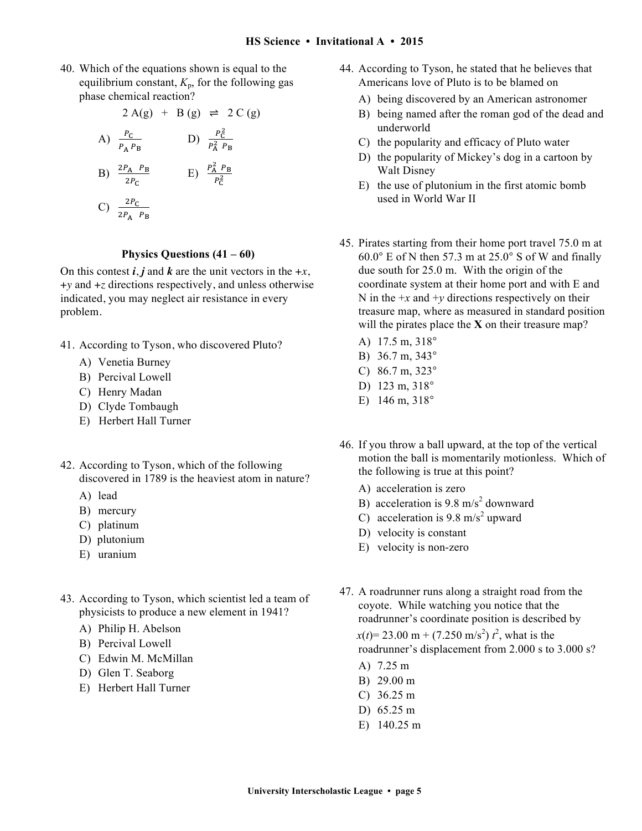40. Which of the equations shown is equal to the equilibrium constant,  $K_p$ , for the following gas phase chemical reaction?

2 A(g) + B (g) 
$$
\rightleftharpoons
$$
 2 C (g)  
\nA)  $\frac{P_C}{P_A P_B}$  \t\t D)  $\frac{P_C^2}{P_A^2 P_B}$   
\nB)  $\frac{2P_A P_B}{2P_C}$  \t\t E)  $\frac{P_A^2 P_B}{P_C^2}$   
\nC)  $\frac{2P_C}{2P_A P_B}$ 

#### **Physics Questions (41 – 60)**

On this contest  $\vec{i}$ ,  $\vec{j}$  and  $\vec{k}$  are the unit vectors in the  $+x$ , +*y* and +*z* directions respectively, and unless otherwise indicated, you may neglect air resistance in every problem.

- 41. According to Tyson, who discovered Pluto?
	- A) Venetia Burney
	- B) Percival Lowell
	- C) Henry Madan
	- D) Clyde Tombaugh
	- E) Herbert Hall Turner
- 42. According to Tyson, which of the following discovered in 1789 is the heaviest atom in nature?
	- A) lead
	- B) mercury
	- C) platinum
	- D) plutonium
	- E) uranium
- 43. According to Tyson, which scientist led a team of physicists to produce a new element in 1941?
	- A) Philip H. Abelson
	- B) Percival Lowell
	- C) Edwin M. McMillan
	- D) Glen T. Seaborg
	- E) Herbert Hall Turner
- 44. According to Tyson, he stated that he believes that Americans love of Pluto is to be blamed on
	- A) being discovered by an American astronomer
	- B) being named after the roman god of the dead and underworld
	- C) the popularity and efficacy of Pluto water
	- D) the popularity of Mickey's dog in a cartoon by Walt Disney
	- E) the use of plutonium in the first atomic bomb used in World War II
- 45. Pirates starting from their home port travel 75.0 m at 60.0° E of N then 57.3 m at 25.0° S of W and finally due south for 25.0 m. With the origin of the coordinate system at their home port and with E and N in the  $+x$  and  $+y$  directions respectively on their treasure map, where as measured in standard position will the pirates place the **X** on their treasure map?
	- A) 17.5 m, 318°
	- B) 36.7 m, 343°
	- C) 86.7 m, 323°
	- D) 123 m, 318°
	- E) 146 m, 318°
- 46. If you throw a ball upward, at the top of the vertical motion the ball is momentarily motionless. Which of the following is true at this point?
	- A) acceleration is zero
	- B) acceleration is  $9.8 \text{ m/s}^2$  downward
	- C) acceleration is  $9.8 \text{ m/s}^2$  upward
	- D) velocity is constant
	- E) velocity is non-zero
- 47. A roadrunner runs along a straight road from the coyote. While watching you notice that the roadrunner's coordinate position is described by  $x(t) = 23.00 \text{ m} + (7.250 \text{ m/s}^2) t^2$ , what is the roadrunner's displacement from 2.000 s to 3.000 s?
	- A) 7.25 m
	- B) 29.00 m
	- C) 36.25 m
	- D) 65.25 m
	- E) 140.25 m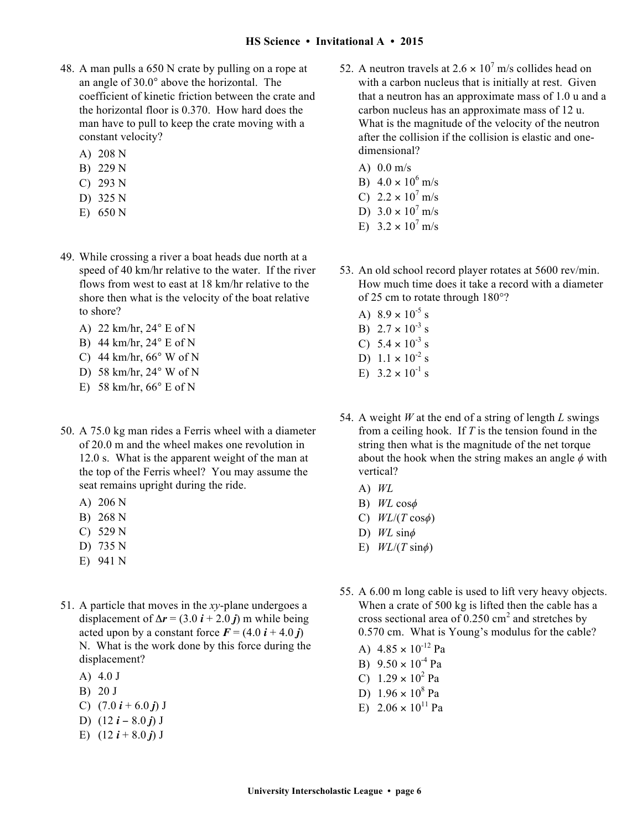- 48. A man pulls a 650 N crate by pulling on a rope at an angle of 30.0° above the horizontal. The coefficient of kinetic friction between the crate and the horizontal floor is 0.370. How hard does the man have to pull to keep the crate moving with a constant velocity?
	- A) 208 N
	- B) 229 N
	- C) 293 N
	- D) 325 N
	- E) 650 N
- 49. While crossing a river a boat heads due north at a speed of 40 km/hr relative to the water. If the river flows from west to east at 18 km/hr relative to the shore then what is the velocity of the boat relative to shore?
	- A) 22 km/hr, 24° E of N
	- B) 44 km/hr, 24° E of N
	- C) 44 km/hr,  $66^{\circ}$  W of N
	- D) 58 km/hr, 24° W of N
	- E) 58 km/hr,  $66^\circ$  E of N
- 50. A 75.0 kg man rides a Ferris wheel with a diameter of 20.0 m and the wheel makes one revolution in 12.0 s. What is the apparent weight of the man at the top of the Ferris wheel? You may assume the seat remains upright during the ride.
	- A) 206 N
	- B) 268 N
	- C) 529 N
	- D) 735 N
	- E) 941 N
- 51. A particle that moves in the *xy*-plane undergoes a displacement of  $\Delta r = (3.0 i + 2.0 j)$  m while being acted upon by a constant force  $\vec{F} = (4.0 \,\hat{i} + 4.0 \,\hat{j})$ N. What is the work done by this force during the displacement?
	- A) 4.0 J
	- B) 20 J
	- C)  $(7.0 i + 6.0 j)$  J
	- D) (12 *i* − 8.0 *j*) J
	- E)  $(12 i + 8.0 j)$  J
- 52. A neutron travels at  $2.6 \times 10^7$  m/s collides head on with a carbon nucleus that is initially at rest. Given that a neutron has an approximate mass of 1.0 u and a carbon nucleus has an approximate mass of 12 u. What is the magnitude of the velocity of the neutron after the collision if the collision is elastic and onedimensional?
	- A) 0.0 m/s B)  $4.0 \times 10^6$  m/s
	- C)  $2.2 \times 10^7$  m/s
	- D)  $3.0 \times 10^7$  m/s
	- E)  $3.2 \times 10^7$  m/s
- 53. An old school record player rotates at 5600 rev/min. How much time does it take a record with a diameter of 25 cm to rotate through 180°?
	- A)  $8.9 \times 10^{-5}$  s
	- B)  $2.7 \times 10^{-3}$  s C)  $5.4 \times 10^{-3}$  s
	- D)  $1.1 \times 10^{-2}$  s
	- E)  $3.2 \times 10^{-1}$  s
- 54. A weight *W* at the end of a string of length *L* swings from a ceiling hook. If *T* is the tension found in the string then what is the magnitude of the net torque about the hook when the string makes an angle *ϕ* with vertical?
	- A) *WL*
	- B) *WL* cos*ϕ*
	- C) *WL*/(*T* cos*ϕ*)
	- D) *WL* sin*ϕ*
	- E)  $WL/(T \sin \phi)$
- 55. A 6.00 m long cable is used to lift very heavy objects. When a crate of 500 kg is lifted then the cable has a cross sectional area of  $0.250 \text{ cm}^2$  and stretches by 0.570 cm. What is Young's modulus for the cable?
	- A)  $4.85 \times 10^{-12}$  Pa
	- B)  $9.50 \times 10^{-4}$  Pa
	- C)  $1.29 \times 10^2$  Pa
	- D)  $1.96 \times 10^8$  Pa
	- E)  $2.06 \times 10^{11}$  Pa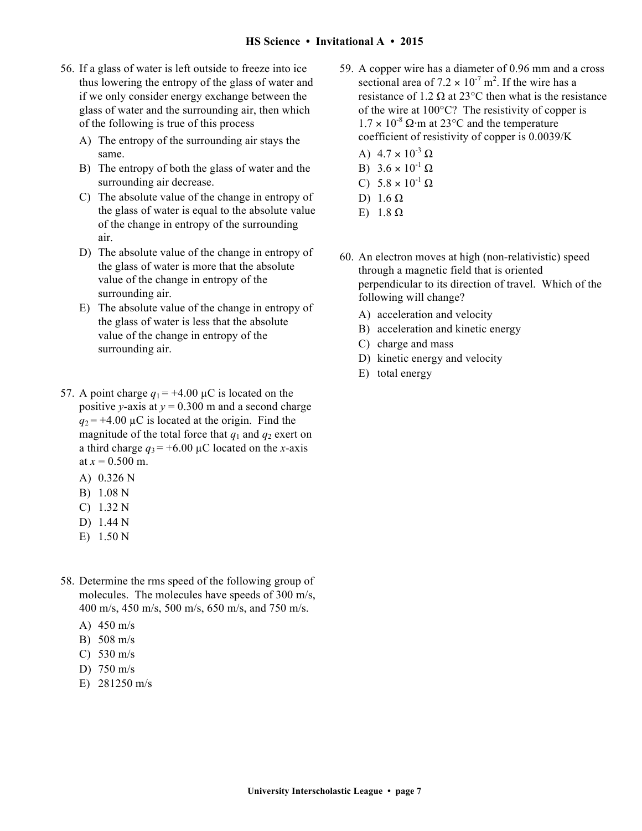- 56. If a glass of water is left outside to freeze into ice thus lowering the entropy of the glass of water and if we only consider energy exchange between the glass of water and the surrounding air, then which of the following is true of this process
	- A) The entropy of the surrounding air stays the same.
	- B) The entropy of both the glass of water and the surrounding air decrease.
	- C) The absolute value of the change in entropy of the glass of water is equal to the absolute value of the change in entropy of the surrounding air.
	- D) The absolute value of the change in entropy of the glass of water is more that the absolute value of the change in entropy of the surrounding air.
	- E) The absolute value of the change in entropy of the glass of water is less that the absolute value of the change in entropy of the surrounding air.
- 57. A point charge  $q_1 = +4.00 \mu C$  is located on the positive *y*-axis at  $y = 0.300$  m and a second charge  $q_2$  = +4.00  $\mu$ C is located at the origin. Find the magnitude of the total force that  $q_1$  and  $q_2$  exert on a third charge  $q_3 = +6.00 \mu C$  located on the *x*-axis at  $x = 0.500$  m.
	- A) 0.326 N
	- B) 1.08 N
	- C) 1.32 N
	- D) 1.44 N
	- E) 1.50 N
- 58. Determine the rms speed of the following group of molecules. The molecules have speeds of 300 m/s, 400 m/s, 450 m/s, 500 m/s, 650 m/s, and 750 m/s.
	- A) 450 m/s
	- B) 508 m/s
	- C) 530 m/s
	- D) 750 m/s
	- E) 281250 m/s
- 59. A copper wire has a diameter of 0.96 mm and a cross sectional area of  $7.2 \times 10^{-7}$  m<sup>2</sup>. If the wire has a resistance of 1.2  $\Omega$  at 23°C then what is the resistance of the wire at 100°C? The resistivity of copper is  $1.7 \times 10^{-8}$  Ω⋅m at 23 $\degree$ C and the temperature coefficient of resistivity of copper is 0.0039/K
	- A)  $4.7 \times 10^{-3}$  Ω
	- B)  $3.6 \times 10^{-1}$  Ω
	- C)  $5.8 \times 10^{-1}$  Ω
	- D)  $1.6 \Omega$
	- E)  $1.8 Ω$
- 60. An electron moves at high (non-relativistic) speed through a magnetic field that is oriented perpendicular to its direction of travel. Which of the following will change?
	- A) acceleration and velocity
	- B) acceleration and kinetic energy
	- C) charge and mass
	- D) kinetic energy and velocity
	- E) total energy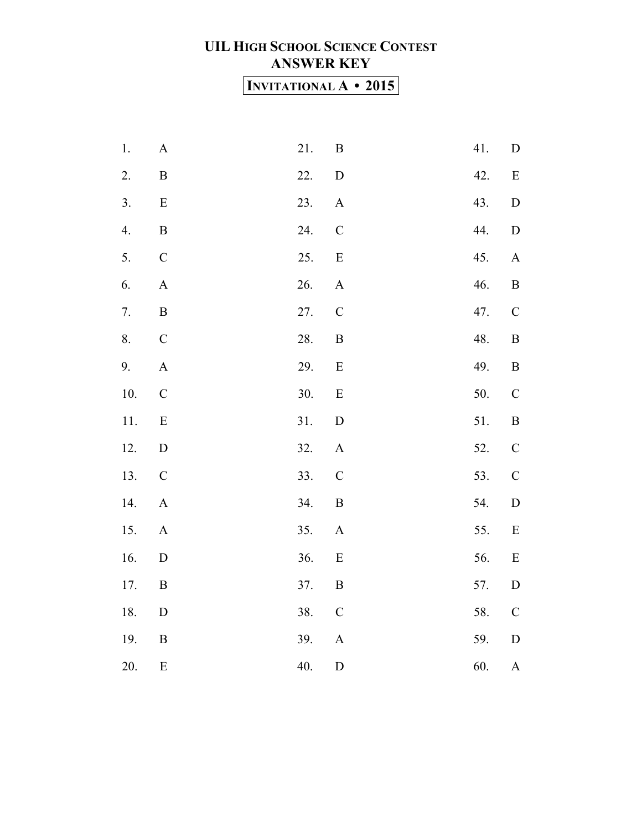### **UIL HIGH SCHOOL SCIENCE CONTEST ANSWER KEY INVITATIONAL A • 2015**

| $1.$     | $\mathbf A$           | 21. | $\, {\bf B}$              | 41. | ${\rm D}$                 |
|----------|-----------------------|-----|---------------------------|-----|---------------------------|
| 2.       | $\, {\bf B}$          | 22. | ${\bf D}$                 | 42. | $\mathbf E$               |
| 3.       | ${\bf E}$             | 23. | $\mathbf{A}$              | 43. | ${\bf D}$                 |
| 4.       | $\, {\bf B}$          | 24. | $\mathcal{C}$             | 44. | ${\bf D}$                 |
| 5.       | $\mathsf C$           | 25. | ${\bf E}$                 | 45. | $\boldsymbol{\rm{A}}$     |
| 6.       | $\mathbf A$           | 26. | $\boldsymbol{\mathsf{A}}$ | 46. | $\, {\bf B}$              |
| 7.       | $\, {\bf B}$          | 27. | $\mathsf C$               | 47. | $\mathsf C$               |
| 8.       | $\mathsf C$           | 28. | $\, {\bf B}$              | 48. | $\, {\bf B}$              |
| 9.       | $\boldsymbol{A}$      | 29. | $\mathbf E$               | 49. | $\, {\bf B}$              |
| $10. \,$ | $\mathbf C$           | 30. | ${\bf E}$                 | 50. | $\mathcal{C}$             |
| 11.      | ${\bf E}$             | 31. | ${\bf D}$                 | 51. | $\, {\bf B}$              |
| 12.      | ${\rm D}$             | 32. | $\boldsymbol{\mathsf{A}}$ | 52. | $\mathbf C$               |
| 13.      | $\mathcal{C}$         | 33. | $\mathcal{C}$             | 53. | $\mathbf C$               |
| 14.      | $\boldsymbol{\rm{A}}$ | 34. | $\, {\bf B}$              | 54. | $\mathbf D$               |
| 15.      | $\boldsymbol{\rm{A}}$ | 35. | $\boldsymbol{\mathsf{A}}$ | 55. | E                         |
| 16.      | $\mathbf D$           | 36. | ${\bf E}$                 | 56. | ${\bf E}$                 |
| 17.      | $\, {\bf B}$          | 37. | $\, {\bf B}$              | 57. | ${\rm D}$                 |
| 18.      | $\mathbf D$           | 38. | $\mathcal{C}$             | 58. | $\mathbf C$               |
| 19.      | $\, {\bf B}$          | 39. | $\boldsymbol{\rm{A}}$     | 59. | ${\bf D}$                 |
| 20.      | ${\bf E}$             | 40. | $\label{eq:1} \mathbf{D}$ | 60. | $\boldsymbol{\mathsf{A}}$ |